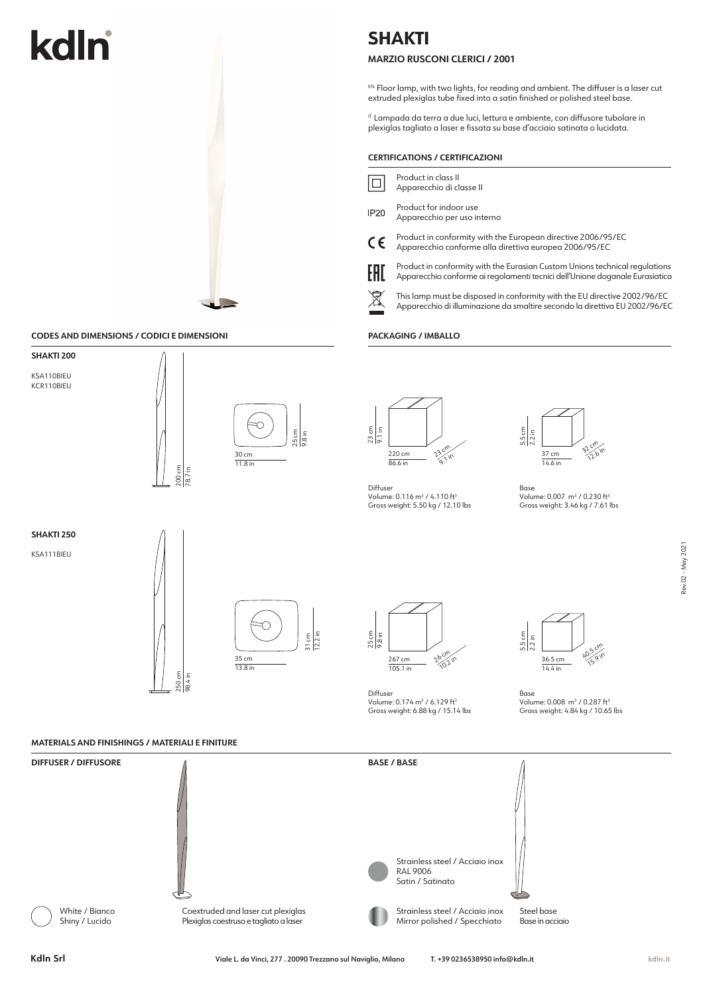# kdln

## **SHAKTI**

## **MARZIO RUSCONI CLERICI / 2001**

EN. Floor lamp, with two lights, for reading and ambient. The diffuser is a laser cut extruded plexiglas tube fixed into a satin finished or polished steel base.

IT. Lampada da terra a due luci, lettura e ambiente, con diffusore tubolare in plexiglas tagliato a laser e fissata su base d'acciaio satinata o lucidata.

|                                            |                               |                                                      | <b>CERTIFICATIONS / CERTIFICAZIONI</b>                                                                                                                                                                                                                                                                                                                                             |                                                                                                                                                                                               |                   |
|--------------------------------------------|-------------------------------|------------------------------------------------------|------------------------------------------------------------------------------------------------------------------------------------------------------------------------------------------------------------------------------------------------------------------------------------------------------------------------------------------------------------------------------------|-----------------------------------------------------------------------------------------------------------------------------------------------------------------------------------------------|-------------------|
|                                            |                               |                                                      | Product in class II<br>$\Box$<br>Apparecchio di classe II                                                                                                                                                                                                                                                                                                                          |                                                                                                                                                                                               |                   |
|                                            |                               |                                                      | Product for indoor use<br><b>IP20</b><br>Apparecchio per uso interno<br>Product in conformity with the European directive 2006/95/EC<br>$\epsilon$<br>Apparecchio conforme alla direttiva europea 2006/95/EC<br>Product in conformity with the Eurasian Custom Unions technical regulations<br>EAC<br>Apparecchio conforme ai regolamenti tecnici dell'Unione doganale Eurasiatica |                                                                                                                                                                                               |                   |
|                                            |                               |                                                      |                                                                                                                                                                                                                                                                                                                                                                                    |                                                                                                                                                                                               |                   |
|                                            |                               |                                                      |                                                                                                                                                                                                                                                                                                                                                                                    |                                                                                                                                                                                               |                   |
|                                            |                               |                                                      | $\cancel{\mathbb{X}}$<br>This lamp must be disposed in conformity with the EU directive 2002/96/EC<br>Apparecchio di illuminazione da smaltire secondo la direttiva EU 2002/96/EC                                                                                                                                                                                                  |                                                                                                                                                                                               |                   |
| CODES AND DIMENSIONS / CODICI E DIMENSIONI |                               |                                                      | PACKAGING / IMBALLO                                                                                                                                                                                                                                                                                                                                                                |                                                                                                                                                                                               |                   |
| SHAKTI 200<br>KSA110BIEU<br>KCR110BIEU     | 200 cm<br>$\frac{1}{78.7}$ in | $\frac{25}{9.8} \frac{cm}{in}$<br>30 cm<br>$11.8$ in | 23cm<br>$\frac{1}{9.1}$ in<br>23 cm<br>220 cm<br>$\sqrt{9.1}$ in<br>86.6 in<br>Diffuser<br>Volume: 0.116 m <sup>3</sup> / 4.110 ft <sup>3</sup><br>Gross weight: 5.50 kg / 12.10 lbs                                                                                                                                                                                               | $\frac{5.5 \text{ cm}}{2.2 \text{ in}}$<br>32 cm<br>37 cm<br>14.6 in<br>Base<br>Volume: 0.007 m <sup>3</sup> / 0.230 ft <sup>3</sup><br>Gross weight: 3.46 kg / 7.61 lbs                      |                   |
| SHAKTI 250<br>KSA111BIEU                   | 250 cm<br>98.4 in             | 12.2 in<br>31 cm<br>35 cm<br>13.8 in                 | 25 cm<br>9.8 in<br>26 cm<br>267 cm<br>10.2 in<br>105.1 in<br>Diffuser<br>Volume: 0.174 m <sup>3</sup> / 6.129 ft <sup>3</sup><br>Gross weight: 6.88 kg / 15.14 lbs                                                                                                                                                                                                                 | $rac{5.5 \text{ cm}}{2.2 \text{ in}}$<br>40.5 cm<br><b>15.9 in</b><br>36.5 cm<br>14.4 in<br>Base<br>Volume: 0.008 m <sup>3</sup> / 0.287 ft <sup>3</sup><br>Gross weight: 4.84 kg / 10.65 lbs | Rev.02 - May 2021 |

## **MATERIALS AND FINISHINGS / MATERIALI E FINITURE**